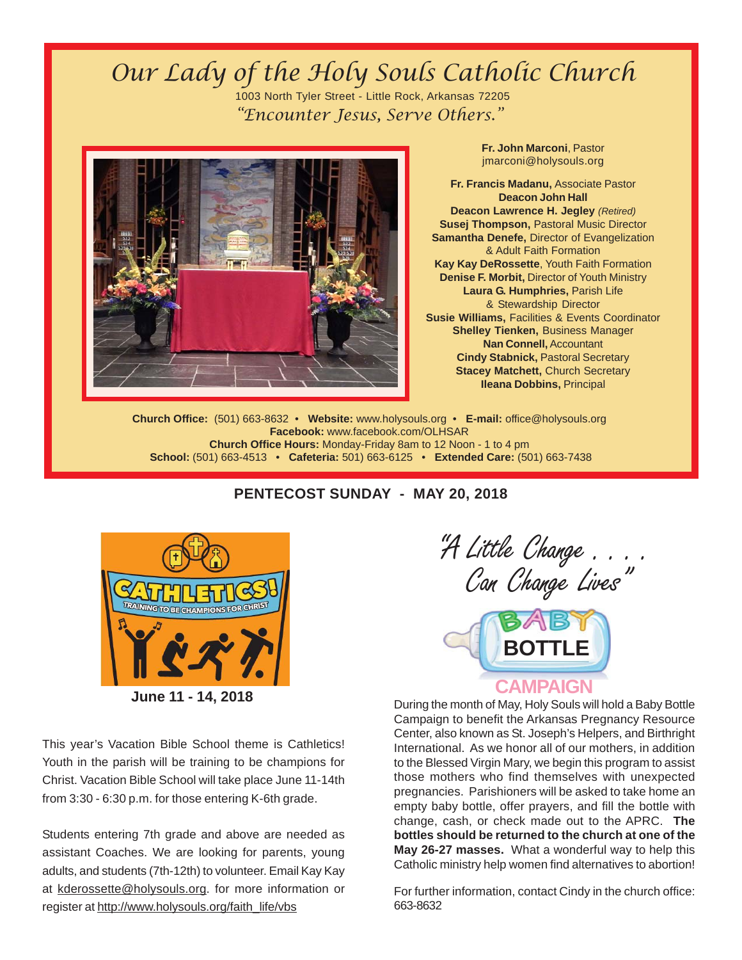## Our Lady of the Holy Souls Catholic Church 1003 North Tyler Street - Little Rock, Arkansas 72205 "Encounter Jesus, Serve Others."



**Fr. John Marconi**, Pastor jmarconi@holysouls.org

**Fr. Francis Madanu,** Associate Pastor **Deacon John Hall Deacon Lawrence H. Jegley** *(Retired)* **Susej Thompson,** Pastoral Music Director **Samantha Denefe,** Director of Evangelization & Adult Faith Formation **Kay Kay DeRossette**, Youth Faith Formation **Denise F. Morbit, Director of Youth Ministry Laura G. Humphries,** Parish Life & Stewardship Director **Susie Williams,** Facilities & Events Coordinator **Shelley Tienken,** Business Manager **Nan Connell,** Accountant **Cindy Stabnick,** Pastoral Secretary **Stacey Matchett, Church Secretary Ileana Dobbins,** Principal

**Church Office:** (501) 663-8632 • **Website:** www.holysouls.org • **E-mail:** office@holysouls.org **Facebook:** www.facebook.com/OLHSAR **Church Office Hours:** Monday-Friday 8am to 12 Noon - 1 to 4 pm  **School:** (501) 663-4513 • **Cafeteria:** 501) 663-6125 • **Extended Care:** (501) 663-7438



This year's Vacation Bible School theme is Cathletics! Youth in the parish will be training to be champions for Christ. Vacation Bible School will take place June 11-14th from 3:30 - 6:30 p.m. for those entering K-6th grade.

Students entering 7th grade and above are needed as assistant Coaches. We are looking for parents, young adults, and students (7th-12th) to volunteer. Email Kay Kay at kderossette@holysouls.org. for more information or register at http://www.holysouls.org/faith\_life/vbs

# "A Little Change . . . . Can Change Lives"



During the month of May, Holy Souls will hold a Baby Bottle Campaign to benefit the Arkansas Pregnancy Resource Center, also known as St. Joseph's Helpers, and Birthright International. As we honor all of our mothers, in addition to the Blessed Virgin Mary, we begin this program to assist those mothers who find themselves with unexpected pregnancies. Parishioners will be asked to take home an empty baby bottle, offer prayers, and fill the bottle with change, cash, or check made out to the APRC. **The bottles should be returned to the church at one of the May 26-27 masses.** What a wonderful way to help this Catholic ministry help women find alternatives to abortion!

For further information, contact Cindy in the church office: 663-8632

### **PENTECOST SUNDAY - MAY 20, 2018**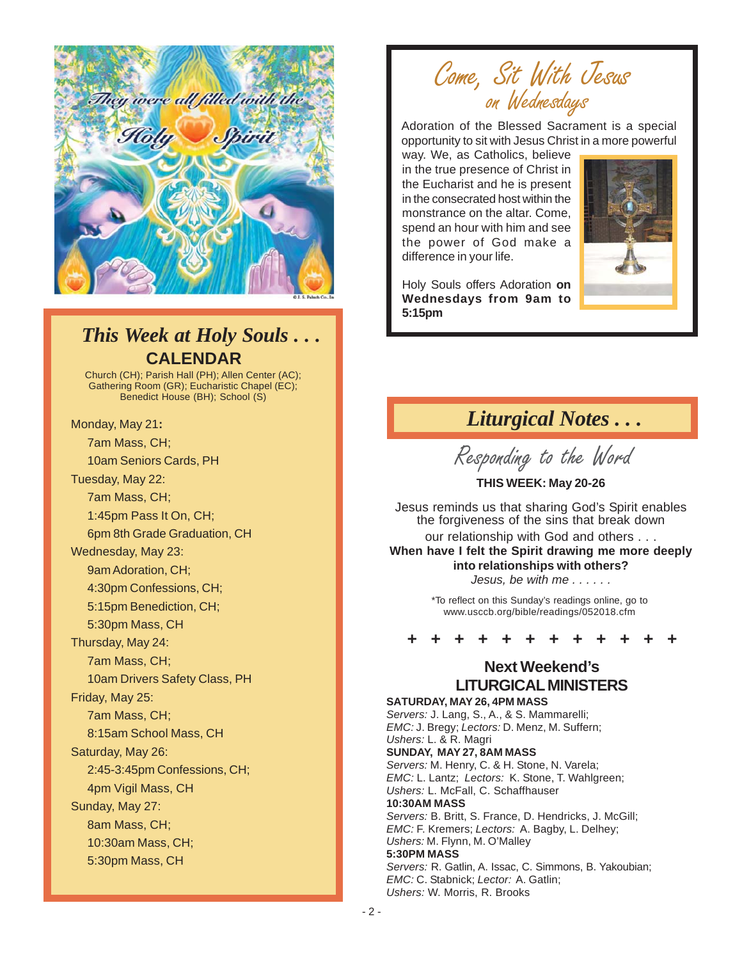

## **CALENDAR** *This Week at Holy Souls . . .*

Church (CH); Parish Hall (PH); Allen Center (AC); Gathering Room (GR); Eucharistic Chapel (EC); Benedict House (BH); School (S)

Monday, May 21**:** 7am Mass, CH; 10am Seniors Cards, PH Tuesday, May 22: 7am Mass, CH; 1:45pm Pass It On, CH; 6pm 8th Grade Graduation, CH Wednesday, May 23: 9am Adoration, CH; 4:30pm Confessions, CH; 5:15pm Benediction, CH; 5:30pm Mass, CH Thursday, May 24: 7am Mass, CH; 10am Drivers Safety Class, PH Friday, May 25: 7am Mass, CH; 8:15am School Mass, CH Saturday, May 26: 2:45-3:45pm Confessions, CH; 4pm Vigil Mass, CH Sunday, May 27: 8am Mass, CH; 10:30am Mass, CH; 5:30pm Mass, CH

# Come, Sit With Jesus on Wednesdays

Adoration of the Blessed Sacrament is a special opportunity to sit with Jesus Christ in a more powerful

way. We, as Catholics, believe in the true presence of Christ in the Eucharist and he is present in the consecrated host within the monstrance on the altar. Come, spend an hour with him and see the power of God make a difference in your life.



Holy Souls offers Adoration **on Wednesdays from 9am to 5:15pm**

## *Liturgical Notes . . .*

Responding to the Word

**THIS WEEK: May 20-26** Jesus reminds us that sharing God's Spirit enables the forgiveness of the sins that break down our relationship with God and others . . . **When have I felt the Spirit drawing me more deeply into relationships with others?**

*Jesus, be with me . . . . . .*

\*To reflect on this Sunday's readings online, go to www.usccb.org/bible/readings/052018.cfm

### **+ + + + + + + + + + + +**

### **Next Weekend's LITURGICAL MINISTERS**

**SATURDAY, MAY 26, 4PM MASS** *Servers:* J. Lang, S., A., & S. Mammarelli; *EMC:* J. Bregy; *Lectors:* D. Menz, M. Suffern; *Ushers:* L. & R. Magri **SUNDAY, MAY 27, 8AM MASS** *Servers:* M. Henry, C. & H. Stone, N. Varela; *EMC:* L. Lantz; *Lectors:* K. Stone, T. Wahlgreen; *Ushers:* L. McFall, C. Schaffhauser **10:30AM MASS** *Servers:* B. Britt, S. France, D. Hendricks, J. McGill; *EMC:* F. Kremers; *Lectors:* A. Bagby, L. Delhey; *Ushers:* M. Flynn, M. O'Malley **5:30PM MASS** *Servers:* R. Gatlin, A. Issac, C. Simmons, B. Yakoubian; *EMC:* C. Stabnick; *Lector:* A. Gatlin; *Ushers:* W. Morris, R. Brooks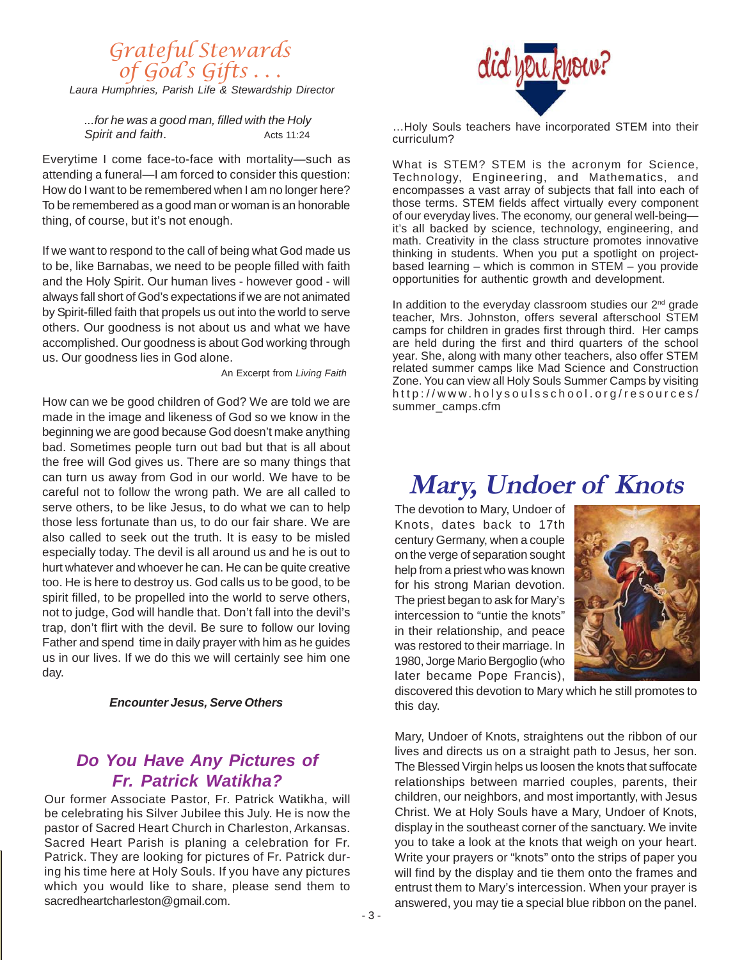### *Laura Humphries, Parish Life & Stewardship Director* Grateful Stewards of God's Gifts . . .

*...for he was a good man, filled with the Holy* **Spirit and faith.** Acts 11:24

Everytime I come face-to-face with mortality—such as attending a funeral—I am forced to consider this question: How do I want to be remembered when I am no longer here? To be remembered as a good man or woman is an honorable thing, of course, but it's not enough.

If we want to respond to the call of being what God made us to be, like Barnabas, we need to be people filled with faith and the Holy Spirit. Our human lives - however good - will always fall short of God's expectations if we are not animated by Spirit-filled faith that propels us out into the world to serve others. Our goodness is not about us and what we have accomplished. Our goodness is about God working through us. Our goodness lies in God alone.

An Excerpt from *Living Faith*

How can we be good children of God? We are told we are made in the image and likeness of God so we know in the beginning we are good because God doesn't make anything bad. Sometimes people turn out bad but that is all about the free will God gives us. There are so many things that can turn us away from God in our world. We have to be careful not to follow the wrong path. We are all called to serve others, to be like Jesus, to do what we can to help those less fortunate than us, to do our fair share. We are also called to seek out the truth. It is easy to be misled especially today. The devil is all around us and he is out to hurt whatever and whoever he can. He can be quite creative too. He is here to destroy us. God calls us to be good, to be spirit filled, to be propelled into the world to serve others, not to judge, God will handle that. Don't fall into the devil's trap, don't flirt with the devil. Be sure to follow our loving Father and spend time in daily prayer with him as he guides us in our lives. If we do this we will certainly see him one day.

#### *Encounter Jesus, Serve Others*

### *Do You Have Any Pictures of Fr. Patrick Watikha?*

Our former Associate Pastor, Fr. Patrick Watikha, will be celebrating his Silver Jubilee this July. He is now the pastor of Sacred Heart Church in Charleston, Arkansas. Sacred Heart Parish is planing a celebration for Fr. Patrick. They are looking for pictures of Fr. Patrick during his time here at Holy Souls. If you have any pictures which you would like to share, please send them to sacredheartcharleston@gmail.com.



…Holy Souls teachers have incorporated STEM into their curriculum?

What is STEM? STEM is the acronym for Science, Technology, Engineering, and Mathematics, and encompasses a vast array of subjects that fall into each of those terms. STEM fields affect virtually every component of our everyday lives. The economy, our general well-being it's all backed by science, technology, engineering, and math. Creativity in the class structure promotes innovative thinking in students. When you put a spotlight on projectbased learning – which is common in STEM – you provide opportunities for authentic growth and development.

In addition to the everyday classroom studies our 2<sup>nd</sup> grade teacher, Mrs. Johnston, offers several afterschool STEM camps for children in grades first through third. Her camps are held during the first and third quarters of the school year. She, along with many other teachers, also offer STEM related summer camps like Mad Science and Construction Zone. You can view all Holy Souls Summer Camps by visiting http://www.holysoulsschool.org/resources/ summer\_camps.cfm

# **Mary, Undoer of Knots**

The devotion to Mary, Undoer of Knots, dates back to 17th century Germany, when a couple on the verge of separation sought help from a priest who was known for his strong Marian devotion. The priest began to ask for Mary's intercession to "untie the knots" in their relationship, and peace was restored to their marriage. In 1980, Jorge Mario Bergoglio (who later became Pope Francis),



discovered this devotion to Mary which he still promotes to this day.

Mary, Undoer of Knots, straightens out the ribbon of our lives and directs us on a straight path to Jesus, her son. The Blessed Virgin helps us loosen the knots that suffocate relationships between married couples, parents, their children, our neighbors, and most importantly, with Jesus Christ. We at Holy Souls have a Mary, Undoer of Knots, display in the southeast corner of the sanctuary. We invite you to take a look at the knots that weigh on your heart. Write your prayers or "knots" onto the strips of paper you will find by the display and tie them onto the frames and entrust them to Mary's intercession. When your prayer is answered, you may tie a special blue ribbon on the panel.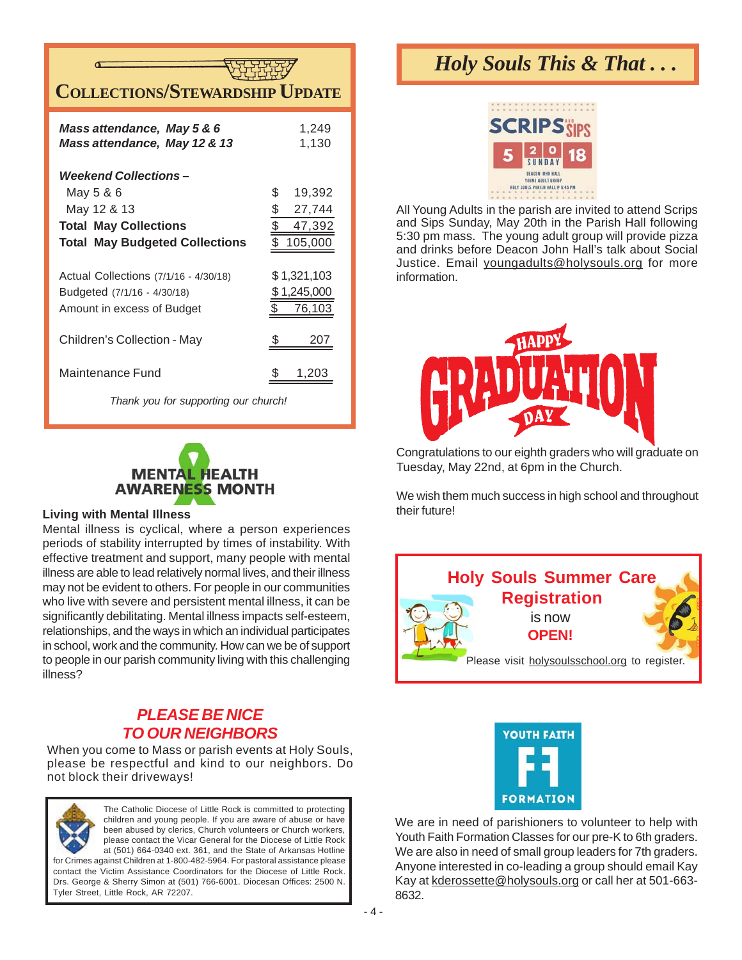

| Mass attendance, May 5 & 6<br>Mass attendance, May 12 & 13                                         | 1,249<br>1,130                                          |
|----------------------------------------------------------------------------------------------------|---------------------------------------------------------|
| Weekend Collections –<br>May 5 & 6<br>May 12 & 13<br><b>Total May Collections</b>                  | \$<br>19,392<br>\$<br>27,744<br>$\frac{1}{2}$<br>47,392 |
| <b>Total May Budgeted Collections</b>                                                              | $\bar{\S}$<br>105,000                                   |
| Actual Collections (7/1/16 - 4/30/18)<br>Budgeted (7/1/16 - 4/30/18)<br>Amount in excess of Budget | \$ 1,321,103<br>1,245,000<br>76,103                     |
| Children's Collection - May                                                                        | 207                                                     |
| Maintenance Fund                                                                                   | 1,203                                                   |

*Thank you for supporting our church!*



#### **Living with Mental Illness**

Mental illness is cyclical, where a person experiences periods of stability interrupted by times of instability. With effective treatment and support, many people with mental illness are able to lead relatively normal lives, and their illness may not be evident to others. For people in our communities who live with severe and persistent mental illness, it can be significantly debilitating. Mental illness impacts self-esteem, relationships, and the ways in which an individual participates in school, work and the community. How can we be of support to people in our parish community living with this challenging illness?

### *PLEASE BE NICE TO OUR NEIGHBORS*

When you come to Mass or parish events at Holy Souls, please be respectful and kind to our neighbors. Do not block their driveways!



The Catholic Diocese of Little Rock is committed to protecting children and young people. If you are aware of abuse or have been abused by clerics, Church volunteers or Church workers, please contact the Vicar General for the Diocese of Little Rock at (501) 664-0340 ext. 361, and the State of Arkansas Hotline for Crimes against Children at 1-800-482-5964. For pastoral assistance please

contact the Victim Assistance Coordinators for the Diocese of Little Rock. Drs. George & Sherry Simon at (501) 766-6001. Diocesan Offices: 2500 N. Tyler Street, Little Rock, AR 72207.

# *Holy Souls This & That . . .*



All Young Adults in the parish are invited to attend Scrips and Sips Sunday, May 20th in the Parish Hall following 5:30 pm mass. The young adult group will provide pizza and drinks before Deacon John Hall's talk about Social Justice. Email youngadults@holysouls.org for more information.



Congratulations to our eighth graders who will graduate on Tuesday, May 22nd, at 6pm in the Church.

We wish them much success in high school and throughout their future!





We are in need of parishioners to volunteer to help with Youth Faith Formation Classes for our pre-K to 6th graders. We are also in need of small group leaders for 7th graders. Anyone interested in co-leading a group should email Kay Kay at kderossette@holysouls.org or call her at 501-663- 8632.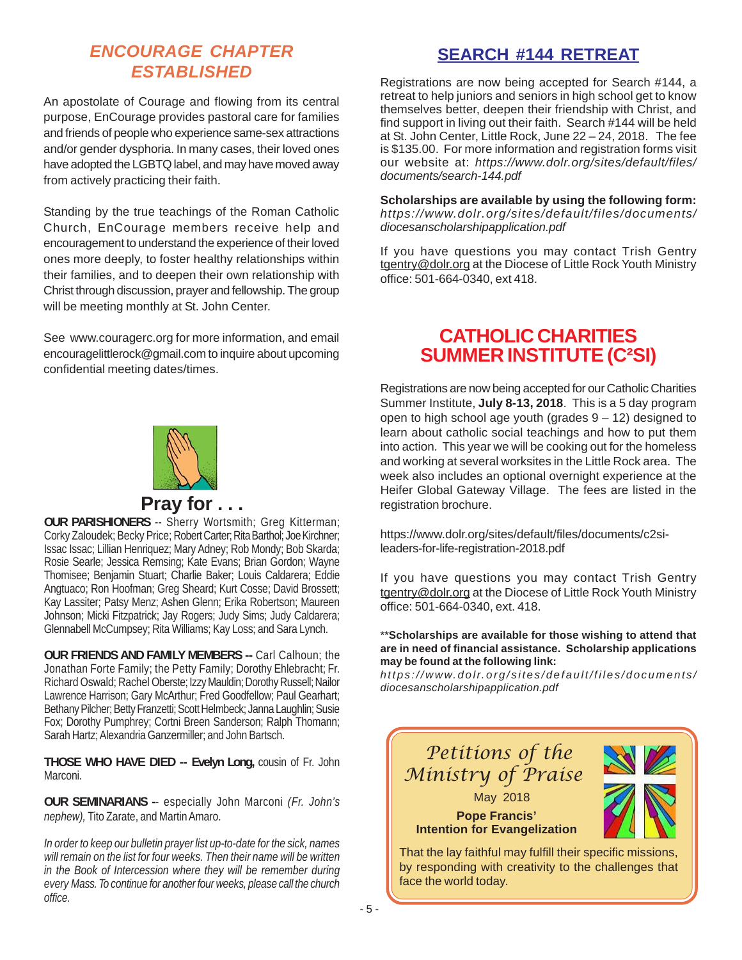### *ENCOURAGE CHAPTER ESTABLISHED*

An apostolate of Courage and flowing from its central purpose, EnCourage provides pastoral care for families and friends of people who experience same-sex attractions and/or gender dysphoria. In many cases, their loved ones have adopted the LGBTQ label, and may have moved away from actively practicing their faith.

Standing by the true teachings of the Roman Catholic Church, EnCourage members receive help and encouragement to understand the experience of their loved ones more deeply, to foster healthy relationships within their families, and to deepen their own relationship with Christ through discussion, prayer and fellowship. The group will be meeting monthly at St. John Center.

See www.couragerc.org for more information, and email encouragelittlerock@gmail.com to inquire about upcoming confidential meeting dates/times.



### **Pray for . . .**

**OUR PARISHIONERS** -- Sherry Wortsmith; Greg Kitterman; Corky Zaloudek; Becky Price; Robert Carter; Rita Barthol; Joe Kirchner; Issac Issac; Lillian Henriquez; Mary Adney; Rob Mondy; Bob Skarda; Rosie Searle; Jessica Remsing; Kate Evans; Brian Gordon; Wayne Thomisee; Benjamin Stuart; Charlie Baker; Louis Caldarera; Eddie Angtuaco; Ron Hoofman; Greg Sheard; Kurt Cosse; David Brossett; Kay Lassiter; Patsy Menz; Ashen Glenn; Erika Robertson; Maureen Johnson; Micki Fitzpatrick; Jay Rogers; Judy Sims; Judy Caldarera; Glennabell McCumpsey; Rita Williams; Kay Loss; and Sara Lynch.

**OUR FRIENDS AND FAMILY MEMBERS --** Carl Calhoun; the Jonathan Forte Family; the Petty Family; Dorothy Ehlebracht; Fr. Richard Oswald; Rachel Oberste; Izzy Mauldin; Dorothy Russell; Nailor Lawrence Harrison; Gary McArthur; Fred Goodfellow; Paul Gearhart; Bethany Pilcher; Betty Franzetti; Scott Helmbeck; Janna Laughlin; Susie Fox; Dorothy Pumphrey; Cortni Breen Sanderson; Ralph Thomann; Sarah Hartz; Alexandria Ganzermiller; and John Bartsch.

**THOSE WHO HAVE DIED -- Evelyn Long,** cousin of Fr. John Marconi.

**OUR SEMINARIANS -**- especially John Marconi *(Fr. John's nephew),* Tito Zarate, and Martin Amaro.

*In order to keep our bulletin prayer list up-to-date for the sick, names will remain on the list for four weeks. Then their name will be written in the Book of Intercession where they will be remember during every Mass. To continue for another four weeks, please call the church office.*

## **SEARCH #144 RETREAT**

Registrations are now being accepted for Search #144, a retreat to help juniors and seniors in high school get to know themselves better, deepen their friendship with Christ, and find support in living out their faith. Search #144 will be held at St. John Center, Little Rock, June 22 – 24, 2018. The fee is \$135.00. For more information and registration forms visit our website at: *https://www.dolr.org/sites/default/files/ documents/search-144.pdf*

**Scholarships are available by using the following form:** *https://www.dolr.org/sites/default/files/documents/ diocesanscholarshipapplication.pdf*

If you have questions you may contact Trish Gentry tgentry@dolr.org at the Diocese of Little Rock Youth Ministry office: 501-664-0340, ext 418.

### **CATHOLIC CHARITIES SUMMER INSTITUTE (C²SI)**

Registrations are now being accepted for our Catholic Charities Summer Institute, **July 8-13, 2018**. This is a 5 day program open to high school age youth (grades 9 – 12) designed to learn about catholic social teachings and how to put them into action. This year we will be cooking out for the homeless and working at several worksites in the Little Rock area. The week also includes an optional overnight experience at the Heifer Global Gateway Village. The fees are listed in the registration brochure.

https://www.dolr.org/sites/default/files/documents/c2sileaders-for-life-registration-2018.pdf

If you have questions you may contact Trish Gentry tgentry@dolr.org at the Diocese of Little Rock Youth Ministry office: 501-664-0340, ext. 418.

\*\***Scholarships are available for those wishing to attend that are in need of financial assistance. Scholarship applications may be found at the following link:**

*https://www.dolr.org/sites/default/files/documents/ diocesanscholarshipapplication.pdf*



face the world today.

- 5 -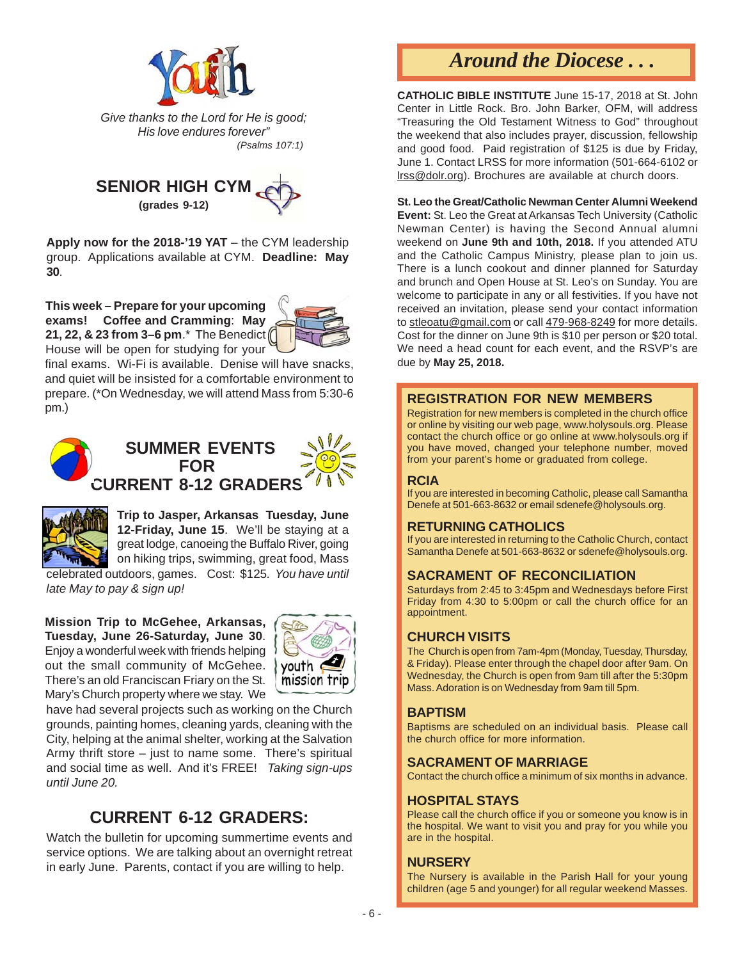

*Give thanks to the Lord for He is good; His love endures forever" (Psalms 107:1)*



**Apply now for the 2018-'19 YAT** – the CYM leadership group. Applications available at CYM. **Deadline: May 30**.

**This week – Prepare for your upcoming exams! Coffee and Cramming**: **May 21, 22, & 23 from 3–6 pm**.\* The Benedict House will be open for studying for your



final exams. Wi-Fi is available. Denise will have snacks, and quiet will be insisted for a comfortable environment to prepare. (\*On Wednesday, we will attend Mass from 5:30-6 pm.)





**Trip to Jasper, Arkansas Tuesday, June 12-Friday, June 15**. We'll be staying at a great lodge, canoeing the Buffalo River, going on hiking trips, swimming, great food, Mass

celebrated outdoors, games. Cost: \$125*. You have until late May to pay & sign up!*

**Mission Trip to McGehee, Arkansas, Tuesday, June 26-Saturday, June 30**. Enjoy a wonderful week with friends helping out the small community of McGehee. There's an old Franciscan Friary on the St. Mary's Church property where we stay. We



have had several projects such as working on the Church grounds, painting homes, cleaning yards, cleaning with the City, helping at the animal shelter, working at the Salvation Army thrift store – just to name some. There's spiritual and social time as well. And it's FREE! *Taking sign-ups until June 20.*

### **CURRENT 6-12 GRADERS:**

Watch the bulletin for upcoming summertime events and service options. We are talking about an overnight retreat in early June. Parents, contact if you are willing to help.

# *Around the Diocese . . .*

**CATHOLIC BIBLE INSTITUTE** June 15-17, 2018 at St. John Center in Little Rock. Bro. John Barker, OFM, will address "Treasuring the Old Testament Witness to God" throughout the weekend that also includes prayer, discussion, fellowship and good food. Paid registration of \$125 is due by Friday, June 1. Contact LRSS for more information (501-664-6102 or lrss@dolr.org). Brochures are available at church doors.

#### **St. Leo the Great/Catholic Newman Center Alumni Weekend**

**Event:** St. Leo the Great at Arkansas Tech University (Catholic Newman Center) is having the Second Annual alumni weekend on **June 9th and 10th, 2018.** If you attended ATU and the Catholic Campus Ministry, please plan to join us. There is a lunch cookout and dinner planned for Saturday and brunch and Open House at St. Leo's on Sunday. You are welcome to participate in any or all festivities. If you have not received an invitation, please send your contact information to stleoatu@gmail.com or call 479-968-8249 for more details. Cost for the dinner on June 9th is \$10 per person or \$20 total. We need a head count for each event, and the RSVP's are due by **May 25, 2018.**

#### **REGISTRATION FOR NEW MEMBERS**

Registration for new members is completed in the church office or online by visiting our web page, www.holysouls.org. Please contact the church office or go online at www.holysouls.org if you have moved, changed your telephone number, moved from your parent's home or graduated from college.

#### **RCIA**

If you are interested in becoming Catholic, please call Samantha Denefe at 501-663-8632 or email sdenefe@holysouls.org.

#### **RETURNING CATHOLICS**

If you are interested in returning to the Catholic Church, contact Samantha Denefe at 501-663-8632 or sdenefe@holysouls.org.

### **SACRAMENT OF RECONCILIATION**

Saturdays from 2:45 to 3:45pm and Wednesdays before First Friday from 4:30 to 5:00pm or call the church office for an appointment.

#### **CHURCH VISITS**

The Church is open from 7am-4pm (Monday, Tuesday, Thursday, & Friday). Please enter through the chapel door after 9am. On Wednesday, the Church is open from 9am till after the 5:30pm Mass. Adoration is on Wednesday from 9am till 5pm.

#### **BAPTISM**

Baptisms are scheduled on an individual basis. Please call the church office for more information.

#### **SACRAMENT OF MARRIAGE**

Contact the church office a minimum of six months in advance.

#### **HOSPITAL STAYS**

Please call the church office if you or someone you know is in the hospital. We want to visit you and pray for you while you are in the hospital.

#### **NURSERY**

The Nursery is available in the Parish Hall for your young children (age 5 and younger) for all regular weekend Masses.